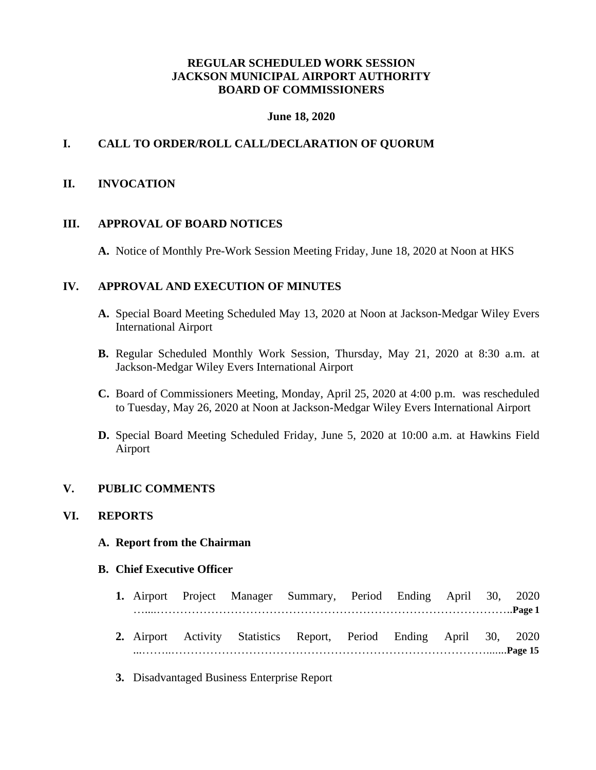## **REGULAR SCHEDULED WORK SESSION JACKSON MUNICIPAL AIRPORT AUTHORITY BOARD OF COMMISSIONERS**

#### **June 18, 2020**

## **I. CALL TO ORDER/ROLL CALL/DECLARATION OF QUORUM**

### **II. INVOCATION**

### **III. APPROVAL OF BOARD NOTICES**

**A.** Notice of Monthly Pre-Work Session Meeting Friday, June 18, 2020 at Noon at HKS

### **IV. APPROVAL AND EXECUTION OF MINUTES**

- **A.** Special Board Meeting Scheduled May 13, 2020 at Noon at Jackson-Medgar Wiley Evers International Airport
- **B.** Regular Scheduled Monthly Work Session, Thursday, May 21, 2020 at 8:30 a.m. at Jackson-Medgar Wiley Evers International Airport
- **C.** Board of Commissioners Meeting, Monday, April 25, 2020 at 4:00 p.m. was rescheduled to Tuesday, May 26, 2020 at Noon at Jackson-Medgar Wiley Evers International Airport
- **D.** Special Board Meeting Scheduled Friday, June 5, 2020 at 10:00 a.m. at Hawkins Field Airport

### **V. PUBLIC COMMENTS**

### **VI. REPORTS**

### **A. Report from the Chairman**

### **B. Chief Executive Officer**

|  |  | 1. Airport Project Manager Summary, Period Ending April 30, 2020    |  |  |  |
|--|--|---------------------------------------------------------------------|--|--|--|
|  |  |                                                                     |  |  |  |
|  |  | 2. Airport Activity Statistics Report, Period Ending April 30, 2020 |  |  |  |

- ...……..……………………………………………………………………….......**Page 15**
- **3.** Disadvantaged Business Enterprise Report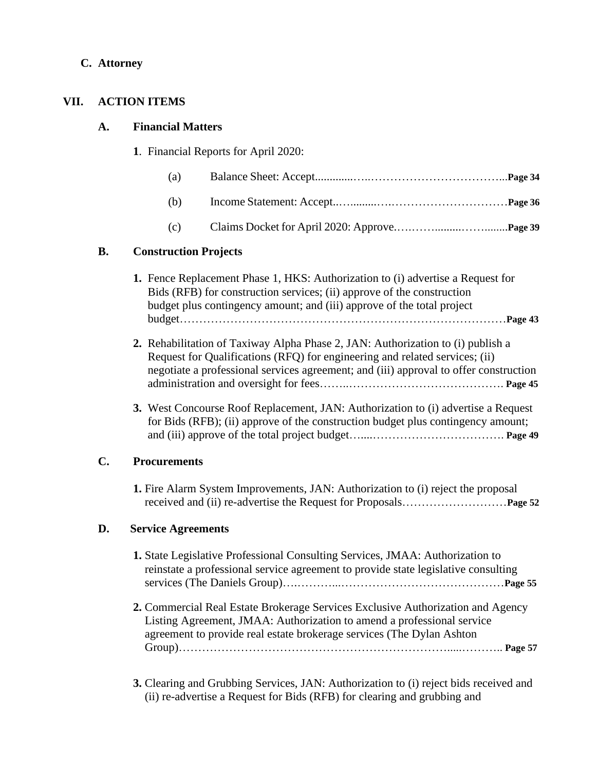## **C. Attorney**

## **VII. ACTION ITEMS**

## **A. Financial Matters**

**1**. Financial Reports for April 2020:

| (a) |  |
|-----|--|
| (b) |  |

(c) Claims Docket for April 2020: Approve.….…….........……........**Page 39**

## **B. Construction Projects**

| <b>1.</b> Fence Replacement Phase 1, HKS: Authorization to (i) advertise a Request for |
|----------------------------------------------------------------------------------------|
| Bids (RFB) for construction services; (ii) approve of the construction                 |
| budget plus contingency amount; and (iii) approve of the total project                 |
|                                                                                        |

- **2.** Rehabilitation of Taxiway Alpha Phase 2, JAN: Authorization to (i) publish a Request for Qualifications (RFQ) for engineering and related services; (ii) negotiate a professional services agreement; and (iii) approval to offer construction administration and oversight for fees……..…………………………………. **Page 45**
- **3.** West Concourse Roof Replacement, JAN: Authorization to (i) advertise a Request for Bids (RFB); (ii) approve of the construction budget plus contingency amount; and (iii) approve of the total project budget…....……………………………. **Page 49**

## **C. Procurements**

**1.** Fire Alarm System Improvements, JAN: Authorization to (i) reject the proposal received and (ii) re-advertise the Request for Proposals………………………**Page 52**

## **D. Service Agreements**

- **1.** State Legislative Professional Consulting Services, JMAA: Authorization to reinstate a professional service agreement to provide state legislative consulting services (The Daniels Group)….………...……………………………………**Page 55**
- **2.** Commercial Real Estate Brokerage Services Exclusive Authorization and Agency Listing Agreement, JMAA: Authorization to amend a professional service agreement to provide real estate brokerage services (The Dylan Ashton Group)…………………………………………………………….....……….. **Page 57**
- **3.** Clearing and Grubbing Services, JAN: Authorization to (i) reject bids received and (ii) re-advertise a Request for Bids (RFB) for clearing and grubbing and